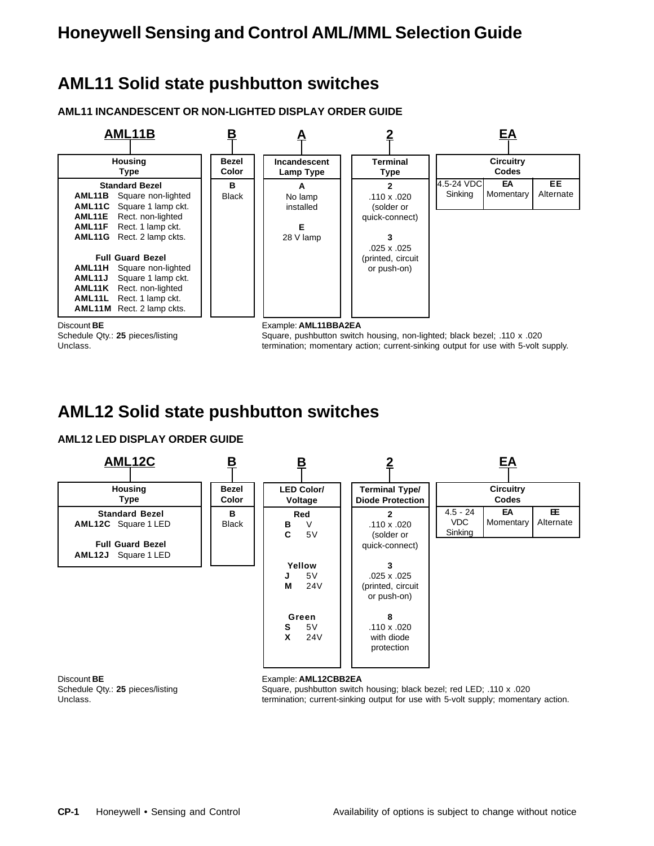## **AML11 Solid state pushbutton switches**

**AML11 INCANDESCENT OR NON-LIGHTED DISPLAY ORDER GUIDE**



Schedule Qty.: 25 pieces/listing Square, pushbutton switch housing, non-lighted; black bezel; .110 x .020 Unclass. termination; momentary action; current-sinking output for use with 5-volt supply.

### **AML12 Solid state pushbutton switches**

### **AML12 LED DISPLAY ORDER GUIDE**



Discount **BE**<br>
Schedule Qtv.: 25 pieces/listing<br>
Square, pushbutton switch

Schedule Qty.: **25** pieces/listing Square, pushbutton switch housing; black bezel; red LED; .110 x .020<br>termination; current-sinking output for use with 5-volt supply; momental termination; current-sinking output for use with 5-volt supply; momentary action.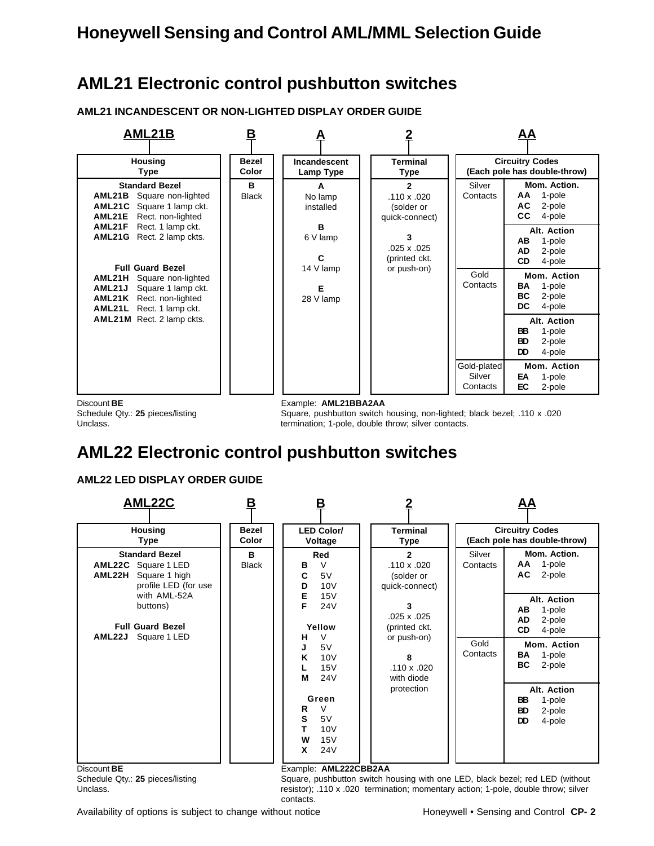## **AML21 Electronic control pushbutton switches**

**AML21 INCANDESCENT OR NON-LIGHTED DISPLAY ORDER GUIDE**



Schedule Qty.: 25 pieces/listing Square, pushbutton switch housing, non-lighted; black bezel; .110 x .020 Unclass. termination; 1-pole, double throw; silver contacts.

## **AML22 Electronic control pushbutton switches**

### **AML22 LED DISPLAY ORDER GUIDE**



Schedule Qty.: 25 pieces/listing Square, pushbutton switch housing with one LED, black bezel; red LED (without Unclass. The state of the signific resistor); .110 x .020 termination; momentary action; 1-pole, double throw; silver contacts.

Availability of options is subject to change without notice Honeywell • Sensing and Control **CP- 2**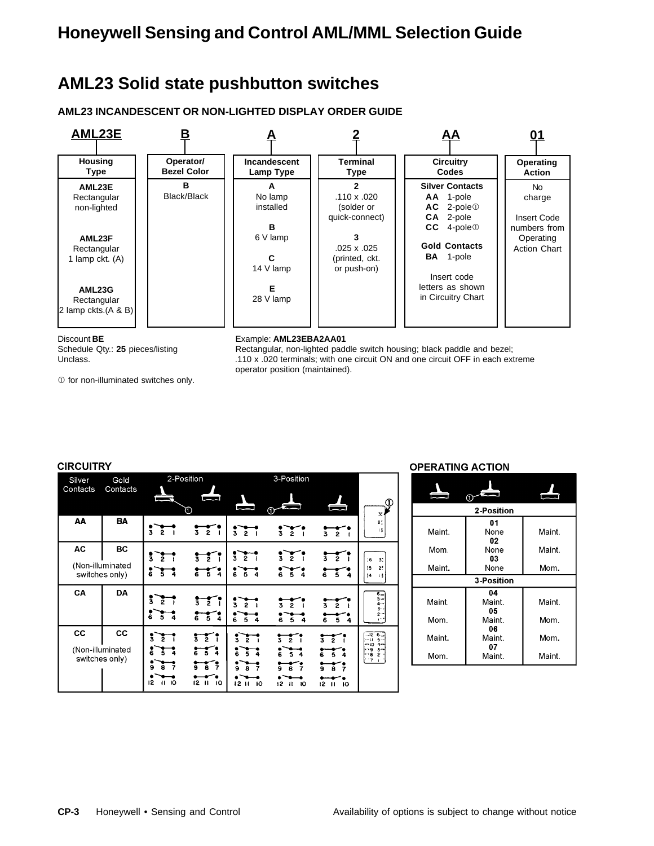### **AML23 Solid state pushbutton switches**

**AML23 INCANDESCENT OR NON-LIGHTED DISPLAY ORDER GUIDE**



Discount **BE** Example: **AML23EBA2AA01**

Schedule Qty.: 25 pieces/listing Rectangular, non-lighted paddle switch housing; black paddle and bezel; Unclass. **110 x .020** terminals; with one circuit ON and one circuit OFF in each extreme operator position (maintained).

 $O$  for non-illuminated switches only.

|  |  | <b>NRCLUTRY</b> |  |
|--|--|-----------------|--|

| <b>CIRCUITRY</b>   |                                                 |                                          |                                                                                |                                                             |                                                                |                                           |                                                                                             |
|--------------------|-------------------------------------------------|------------------------------------------|--------------------------------------------------------------------------------|-------------------------------------------------------------|----------------------------------------------------------------|-------------------------------------------|---------------------------------------------------------------------------------------------|
| Silver<br>Contacts | Gold<br>Contacts                                |                                          | 2-Position                                                                     |                                                             | 3-Position                                                     |                                           |                                                                                             |
|                    |                                                 | <b>Bandari</b>                           | O)                                                                             | المسمور                                                     | ⋒                                                              | m                                         | Œ<br>3.                                                                                     |
| AA                 | <b>BA</b>                                       | $\bar{3}$<br>2                           | 3 2 I                                                                          | $\frac{1}{3}$ $\frac{1}{2}$ $\frac{1}{1}$                   | š.<br>$\overline{2}$                                           | $\mathbf{z}$<br>3                         | 21<br>18                                                                                    |
| AC                 | BC                                              | š<br>ž                                   | $\frac{1}{3}$ $\frac{1}{2}$ $\frac{1}{1}$                                      | $\frac{1}{3}$ $\frac{1}{2}$                                 | $\frac{1}{3}$ $\frac{1}{2}$                                    | $\overline{2}$<br>Ŝ.                      |                                                                                             |
|                    | (Non-illuminated<br>switches only)              | $5\overline{4}$<br>š                     | $6\overline{5}$ 4                                                              | $6\overline{54}$                                            | $6\overline{54}$                                               | 65<br>4                                   | :6<br>3 <sup>1</sup><br>2.<br>t5<br> 4<br>-14                                               |
| CA                 | <b>DA</b>                                       | š<br>ž<br>6<br>Š.<br>4                   | $\frac{1}{3}$ $\frac{1}{2}$ $\frac{1}{1}$<br>$6\overline{5}$ 4                 | 3<br>۶<br>Ġ<br>5                                            | $\bar{2}$<br>3.<br>$rac{1}{6}$ $rac{1}{5}$<br>$\boldsymbol{a}$ | ā.<br>$\bar{2}$<br>5.<br>6<br>4           | $6-$<br>$5 -$<br>$4 -$<br>3.4<br>2-                                                         |
| CC                 | <b>CC</b><br>(Non-illuminated<br>switches only) | Ã<br>3<br>Ğ<br>Ā<br>۰<br>12<br>10<br>11. | $\frac{1}{3}$ $\frac{1}{2}$ $\frac{1}{1}$<br>654<br>ěŽ<br>ğ.<br>$12$ $11$ $10$ | š.<br>$\bar{2}$<br>š.<br>$5\overline{4}$<br>7<br>12H<br>-10 | $\frac{1}{3}$<br>ž.<br>654<br>$\mathbf{H}$<br>$12-12$<br>10    | š.<br>ž.<br>6<br>ā<br>$12 \quad 11$<br>10 | $-12$<br>6.<br>$5 -$<br>- 11<br>$4-$<br>- 10<br>$3-$<br>- 9<br>ه -<br>S.<br>$\cdot$ 7<br>¥. |

### **OPERATING ACTION**

|        | Œ                 |        |
|--------|-------------------|--------|
|        | 2-Position        |        |
|        | 01                |        |
| Maint. | None              | Maint. |
|        | 02                |        |
| Mom.   | None              | Maint. |
|        | 03                |        |
| Maint. | None              | Mom.   |
|        | <b>3-Position</b> |        |
|        | 04                |        |
| Maint. | Maint.            | Maint. |
|        | 05                |        |
| Mom.   | Maint.            | Mom.   |
|        | 06                |        |
| Maint. | Maint.            | Mom.   |
|        | 07                |        |
| Mom.   | Maint.            | Maint. |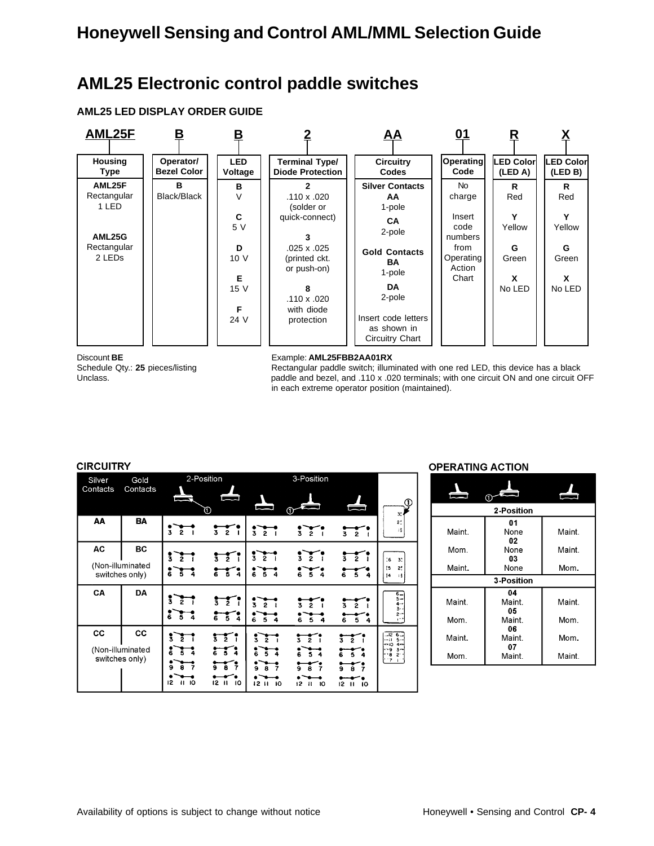### **AML25 Electronic control paddle switches**

### **AML25 LED DISPLAY ORDER GUIDE**



#### Discount **BE** Example: **AML25FBB2AA01RX**

Schedule Qty.: 25 pieces/listing Rectangular paddle switch; illuminated with one red LED, this device has a black Unclass. **paddle and bezel, and .110 x .020 terminals**; with one circuit ON and one circuit OFF in each extreme operator position (maintained).

#### **CIRCUITRY**

| Silver   | Gold                               |                                                        | 2-Position                                             |                                              | 3-Position                                             |                                                                      |                                                  |
|----------|------------------------------------|--------------------------------------------------------|--------------------------------------------------------|----------------------------------------------|--------------------------------------------------------|----------------------------------------------------------------------|--------------------------------------------------|
| Contacts | Contacts                           |                                                        | ጠ                                                      |                                              |                                                        | ا کا                                                                 | т                                                |
| AA       | <b>BA</b>                          | 3<br>$\overline{2}$                                    | $\bar{3}$ $\bar{2}$<br>$\blacksquare$                  | $\overline{3}$ $\overline{2}$ $\overline{1}$ | $\frac{3}{2}$                                          | $\overline{3}$ $\overline{2}$                                        | $2^*$                                            |
| AC       | <b>BC</b>                          |                                                        |                                                        | $\frac{3}{2}$                                | $\frac{1}{3}$ $\frac{1}{2}$                            |                                                                      |                                                  |
|          | (Non-illuminated<br>switches only) | š.<br>$\bar{z}$<br>$rac{1}{6}$ $rac{1}{5}$ $rac{1}{4}$ | $\frac{1}{3}$ $\frac{1}{2}$ $\frac{1}{1}$<br>654       | 654                                          | 654                                                    | žī<br>$\bar{3}$<br>Ğ.<br>$\overline{5}$<br>4                         | :6<br>3.<br>$^{15}$<br>2 <sup>1</sup><br> 4<br>и |
| CA       | <b>DA</b>                          | š<br>ž<br>6<br>Ã                                       | $\frac{1}{3}$ $\frac{1}{2}$ $\frac{1}{1}$<br>$6\,5\,4$ | $\overline{3}$ $\overline{2}$<br>$6\,5\,4$   | $\overline{2}$<br>ā.<br>654                            | 5<br>6<br>$\ddot{\phantom{a}}$                                       | $6 -$<br>$5 -$<br>$4 -$<br>3.                    |
| CC       | <b>CC</b>                          | ī                                                      | $\frac{1}{3}$ $\frac{1}{2}$ $\frac{1}{1}$              | ž<br>ž                                       | $\overline{2}$<br>ī                                    | $\overline{2}$<br>ã.                                                 | $-126$<br>$5 -$<br>- 11                          |
|          | (Non-illuminated<br>switches only) | $\bullet$<br>12<br>10                                  | 654<br>$6^{\circ}$<br>ō.<br>÷<br>12 11 10              | $5\sqrt{4}$<br>š<br>12<br>$\mathbf{H}$<br>10 | Ğ.<br>54<br>7<br>$\mathbf{H}$<br>10<br>12 <sup>2</sup> | $5\overline{4}$<br>Ġ.<br>ė.<br>12 <sup>2</sup><br>10<br>$\mathbf{H}$ | $4-$<br>- 10<br>- 9<br>$3-$<br>۰8<br>$2^{\cdot}$ |

#### **OPERATING ACTION**

|        | 2-Position         |        |
|--------|--------------------|--------|
| Maint. | 01<br>None<br>02   | Maint. |
| Mom.   | None<br>03         | Maint. |
| Maint. | None               | Mom.   |
|        | <b>3-Position</b>  |        |
| Maint. | 04<br>Maint.<br>05 | Maint. |
| Mom.   | Maint.<br>06       | Mom.   |
| Maint. | Maint.<br>07       | Mom.   |
| Mom.   | Maint.             | Maint. |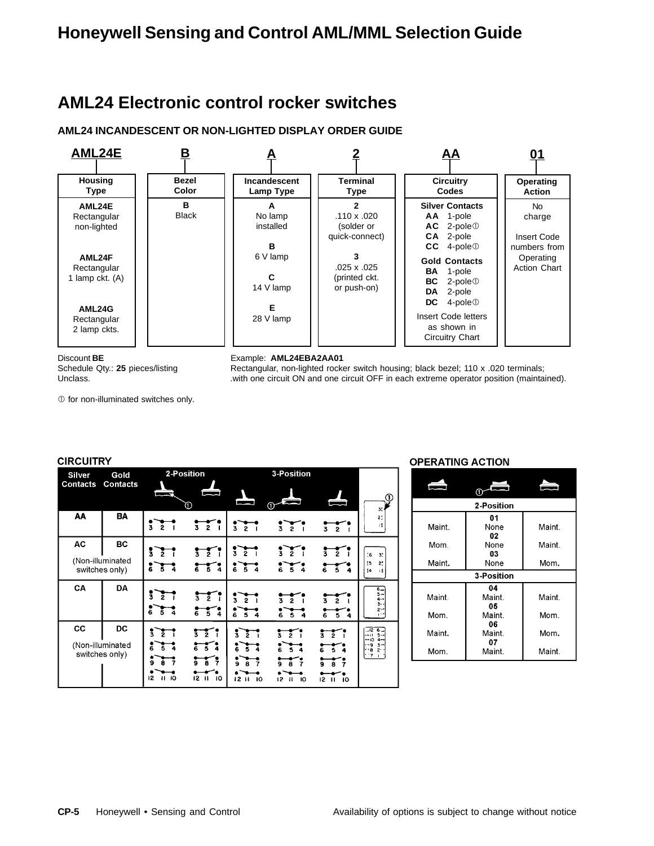## **AML24 Electronic control rocker switches**

### **AML24 INCANDESCENT OR NON-LIGHTED DISPLAY ORDER GUIDE**



 $O$  for non-illuminated switches only.

#### Discount **BE** Example: **AML24EBA2AA01**

Schedule Qty.: 25 pieces/listing Rectangular, non-lighted rocker switch housing; black bezel; 110 x .020 terminals; Unclass. **Includes** 2001 one circuit ON and one circuit OFF in each extreme operator position (maintained).

> $\overline{0}$  $3:4$

 $2<sup>t</sup>$ 

 $\bar{\mathbf{1}}$ 

 $\begin{bmatrix} 1 & 1 & 1 & 1 \\ 1 & 1 & 1 & 1 \end{bmatrix}$ 

 $\ddot{\phantom{0}}$  6  $3^\circ$ 

l 5<br>|4  $\frac{2}{3}$ 

**CIRCUITRY** 2-Position 3-Position **Silver** Gold **Contacts Contacts** AA **BA**  $\frac{1}{3}$   $\frac{1}{2}$   $\frac{1}{2}$  $rac{1}{3}$   $rac{1}{2}$  $\frac{1}{3}$   $\frac{1}{2}$   $\frac{1}{2}$  $\frac{1}{3}$   $\frac{1}{2}$   $\frac{1}{2}$  $rac{1}{3}$ **AC BC**  $rac{1}{3}$  $\frac{1}{3}$   $\frac{1}{2}$   $\frac{1}{1}$  $rac{1}{3}$  $\frac{1}{3}$   $\frac{1}{2}$   $\frac{1}{1}$  $\frac{1}{3}$   $\frac{1}{2}$ (Non-illuminated  $\sqrt[3]{\frac{1}{6}}$  $\frac{1}{6}$   $\frac{1}{5}$   $\frac{1}{4}$  $\frac{1}{6}$   $\frac{1}{5}$  4  $\frac{1}{6}$  5 4  $\frac{1}{6}$  $\frac{1}{4}$ switches only) CA DA  $\frac{1}{2}$  $\frac{1}{3}$  $\frac{1}{3}$   $\frac{1}{2}$   $\frac{1}{1}$  $\frac{1}{3}$   $\frac{1}{2}$   $\frac{1}{1}$  $rac{1}{3}$  $\frac{1}{6}$   $\frac{1}{5}$   $\frac{1}{4}$  $654$  $6\overline{5}$  $\frac{1}{6}$   $\frac{1}{5}$   $\frac{1}{4}$  $654$  $-126$   $-115$   $-104$   $-93$   $-82$   $71$  $cc$ DC

 $\frac{1}{3}$   $\frac{1}{2}$   $\frac{1}{1}$ 

 $654$ 

 $\frac{1}{9}$ 

 $\frac{1}{12}$   $\frac{1}{10}$ 

 $\frac{1}{3}$   $\frac{1}{2}$   $\frac{1}{1}$ 

 $\frac{1}{6}$   $\frac{1}{5}$   $\frac{1}{4}$ 

 $rac{1}{9}$   $rac{1}{8}$  7

 $12 \, 11 \, 10$ 

 $\frac{1}{3}$ 

 $\frac{1}{6}$   $\frac{1}{5}$   $\frac{1}{4}$ 

 $\frac{1}{9}$ 

 $\frac{1}{12}$   $\frac{1}{11}$   $\frac{1}{10}$ 

 $rac{1}{3}$   $rac{1}{2}$ 

 $\frac{1}{6}$   $\frac{1}{5}$   $\frac{1}{4}$ 

 $\frac{1}{9}$   $\frac{1}{8}$   $\frac{1}{7}$ 

 $12 \t{1} \t{1}$ 

### **OPERATING ACTION**

|        | Ò                  |        |
|--------|--------------------|--------|
|        | 2-Position         |        |
|        | 01                 |        |
| Maint. | None<br>02         | Maint. |
| Mom.   | None               | Maint. |
|        | 03                 |        |
| Maint. | None               | Mom.   |
|        | <b>3-Position</b>  |        |
|        | 04                 |        |
| Maint. | Maint.<br>05       | Maint. |
| Mom.   | Maint.             | Mom.   |
| Maint. | 06<br>Maint.<br>07 | Mom.   |
| Mom.   | Maint.             | Maint. |

 $\sqrt{2}$ 

 $\frac{1}{9}$   $\frac{1}{8}$   $\frac{1}{7}$ 

 $\frac{1}{12}$  11 10

 $\ddot{\bullet}$  $\overline{\phantom{a}5}$ 

(Non-illuminated

switches only)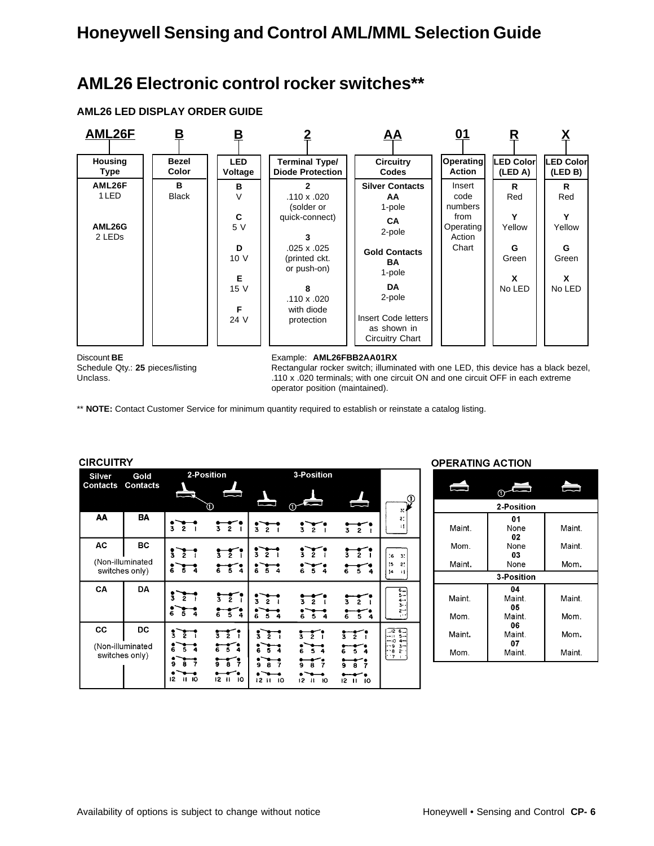## **AML26 Electronic control rocker switches\*\***

### **AML26 LED DISPLAY ORDER GUIDE**



Discount **BE** Example: **AML26FBB2AA01RX**

Schedule Qty.: 25 pieces/listing Rectangular rocker switch; illuminated with one LED, this device has a black bezel, Unclass. **110 x .020** terminals; with one circuit ON and one circuit OFF in each extreme operator position (maintained).

\*\* **NOTE:** Contact Customer Service for minimum quantity required to establish or reinstate a catalog listing.

| <b>CIRCUITRY</b>                 |                                          |                                                                            |                                                                                 |                                                                                  |                                                                 |                                                     |                                                                                  |
|----------------------------------|------------------------------------------|----------------------------------------------------------------------------|---------------------------------------------------------------------------------|----------------------------------------------------------------------------------|-----------------------------------------------------------------|-----------------------------------------------------|----------------------------------------------------------------------------------|
| <b>Silver</b><br><b>Contacts</b> | Gold<br><b>Contacts</b>                  | 2-Position                                                                 | —                                                                               |                                                                                  | 3-Position                                                      |                                                     | т                                                                                |
| AA                               | BA                                       | $\overline{\mathbf{3}}$<br>$\bar{2}$                                       | O<br>3 2 I                                                                      | $\frac{3}{3}$ $\frac{5}{2}$ $\frac{7}{1}$                                        | $\frac{1}{3}$ $\frac{1}{2}$ $\frac{1}{1}$                       | Ū<br>$\frac{1}{3}$ $\frac{1}{2}$ $\frac{1}{1}$      | 3,<br>21<br>$\mathbf{15}$                                                        |
| AC                               | BC<br>(Non-illuminated<br>switches only) | $\frac{1}{2}$<br>$\bar{2}$<br>$\overline{6}$ $\overline{5}$ $\overline{4}$ | $rac{1}{3}$<br>654                                                              | $\frac{1}{3}$ $\frac{1}{2}$ $\frac{1}{1}$<br>$rac{1}{6}$ $rac{1}{5}$ $rac{1}{4}$ | $\frac{1}{3}$ $\frac{1}{2}$ $\frac{1}{1}$<br>$6\,5\,4$          | $\frac{1}{3}$ $\frac{1}{2}$<br>$6\overline{54}$     | :6<br>3.<br>2 <sup>1</sup><br>15<br> 4<br>-14                                    |
| CA                               | <b>DA</b>                                | ī<br>$\bar{z}$<br>៵៓<br>$5\bar{4}$                                         | $\frac{1}{3}$ $\frac{1}{2}$ $\frac{1}{1}$<br>654                                | 3<br>$\overline{2}$<br>$\bar{\mathbf{s}}$<br>Ğ.                                  | $\bar{2}$<br>3<br>55<br>4                                       | $\sum_{i=1}^{n}$<br>3.<br>$\overline{5}$<br>Ġ.<br>4 | $\overline{6}$<br>$5-$<br>$4 -$<br>3.4<br>د ج                                    |
| CC                               | DC<br>(Non-illuminated<br>switches only) | ī<br>3<br>Ġ<br>Ŝ.<br>۰<br>7<br>12<br>- 10<br>п                             | $\frac{1}{3}$ $\frac{1}{2}$ $\frac{1}{1}$<br>654<br>តេះ<br>ã.<br>$12$ $11$ $10$ | $\frac{1}{3}$<br>$\frac{3}{2}$<br>Ğ.<br>$\overline{5}$<br>12 H<br>10             | ī<br>$\overline{2}$<br>$\tilde{6}$<br>$-5$ 4<br>$12$ $11$<br>10 | š.<br>ž.<br>Ā.<br>ē.<br>12<br>$\mathbf{H}$<br>10    | -12<br>6.<br>$5-$<br>- 11<br>- 10<br>$4-$<br>- 9<br>$3-$<br>8<br>s.<br>$\cdot$ 7 |

#### **OPERATING ACTION**

|        | 2-Position         |        |
|--------|--------------------|--------|
| Maint. | 01<br>None<br>02   | Maint. |
| Mom.   | None               | Maint. |
| Maint. | 03<br>None         | Mom.   |
|        | 3-Position         |        |
| Maint. | 04<br>Maint.<br>05 | Maint. |
| Mom.   | Maint.             | Mom.   |
| Maint. | 06<br>Maint.<br>07 | Mom.   |
| Mom.   | Maint.             | Maint. |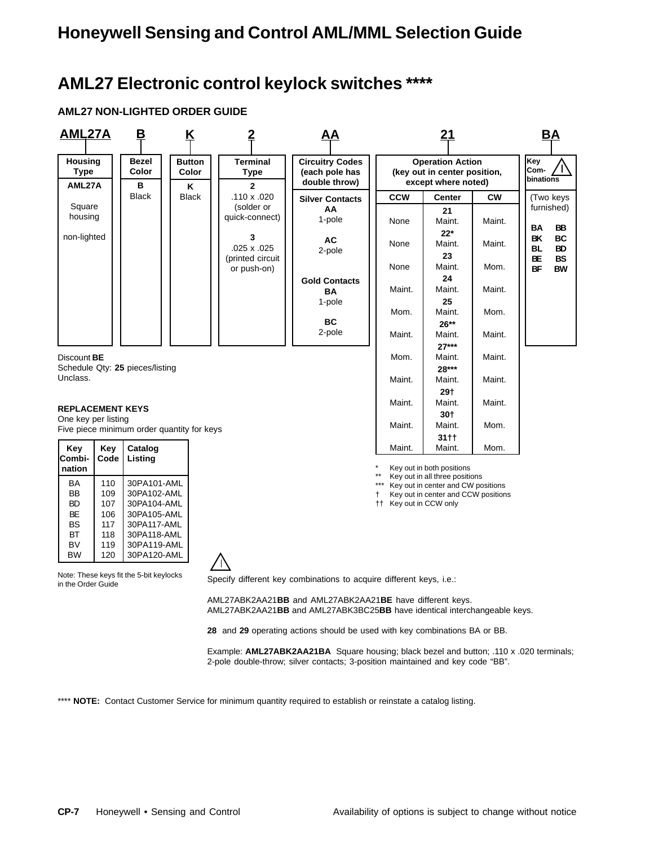## **AML27 Electronic control keylock switches \*\*\*\***

### **AML27 NON-LIGHTED ORDER GUIDE**

| <b>AML27A</b>                           |                                                                                                                                                                           | <u>B</u>                                | <u>K</u>                                   | $\overline{2}$                                 | ΑА                                                                                                                                   |                             | 21                                                                                                |           | <b>BA</b>                                      |
|-----------------------------------------|---------------------------------------------------------------------------------------------------------------------------------------------------------------------------|-----------------------------------------|--------------------------------------------|------------------------------------------------|--------------------------------------------------------------------------------------------------------------------------------------|-----------------------------|---------------------------------------------------------------------------------------------------|-----------|------------------------------------------------|
| <b>Housing</b><br><b>Type</b><br>AML27A |                                                                                                                                                                           | Bezel<br>Color<br>В                     | <b>Button</b><br>Color<br>Κ                | <b>Terminal</b><br><b>Type</b><br>$\mathbf{2}$ | <b>Circuitry Codes</b><br>(each pole has<br>double throw)                                                                            |                             | <b>Operation Action</b><br>(key out in center position,<br>except where noted)                    |           | Key<br>Com-<br>binations                       |
|                                         |                                                                                                                                                                           | <b>Black</b>                            | <b>Black</b>                               | .110 x .020                                    | <b>Silver Contacts</b>                                                                                                               | <b>CCW</b>                  | <b>Center</b>                                                                                     | <b>CW</b> | (Two keys                                      |
| Square<br>housing                       |                                                                                                                                                                           |                                         |                                            | (solder or<br>quick-connect)                   | AA<br>1-pole                                                                                                                         | None                        | 21<br>Maint.                                                                                      | Maint.    | furnished)<br>BB<br>BA                         |
| non-lighted                             |                                                                                                                                                                           |                                         |                                            | 3<br>.025 x .025<br>(printed circuit           | AC<br>2-pole                                                                                                                         | None                        | $22*$<br>Maint.<br>23                                                                             | Maint.    | BK<br>ВC<br><b>BD</b><br>BL<br><b>BS</b><br>ВE |
|                                         |                                                                                                                                                                           |                                         |                                            | or push-on)                                    | <b>Gold Contacts</b>                                                                                                                 | None                        | Maint.<br>24                                                                                      | Mom.      | BF<br><b>BW</b>                                |
|                                         |                                                                                                                                                                           |                                         |                                            |                                                | BA<br>1-pole                                                                                                                         | Maint.                      | Maint.<br>25                                                                                      | Maint.    |                                                |
|                                         |                                                                                                                                                                           |                                         |                                            |                                                | ВC                                                                                                                                   | Mom.                        | Maint.<br>$26**$                                                                                  | Mom.      |                                                |
|                                         |                                                                                                                                                                           |                                         |                                            |                                                | 2-pole                                                                                                                               | Maint.                      | Maint.<br>$27***$                                                                                 | Maint.    |                                                |
| Discount <b>BE</b>                      |                                                                                                                                                                           | Schedule Qty: 25 pieces/listing         |                                            |                                                |                                                                                                                                      | Mom.                        | Maint.<br>28***                                                                                   | Maint.    |                                                |
| Unclass.                                |                                                                                                                                                                           |                                         |                                            |                                                |                                                                                                                                      | Maint.                      | Maint.<br>29†                                                                                     | Maint.    |                                                |
| <b>REPLACEMENT KEYS</b>                 |                                                                                                                                                                           |                                         |                                            |                                                |                                                                                                                                      | Maint.                      | Maint.<br>30†                                                                                     | Maint.    |                                                |
| One key per listing                     |                                                                                                                                                                           |                                         | Five piece minimum order quantity for keys |                                                |                                                                                                                                      | Maint.                      | Maint.<br>31††                                                                                    | Mom.      |                                                |
| Key<br>Combi-                           | Key<br>Code                                                                                                                                                               | Catalog<br>Listing                      |                                            |                                                |                                                                                                                                      | Maint.                      | Maint.                                                                                            | Mom.      |                                                |
| nation<br>BA                            | 110                                                                                                                                                                       | 30PA101-AML                             |                                            |                                                |                                                                                                                                      |                             | Key out in both positions<br>Key out in all three positions<br>Key out in center and CW positions |           |                                                |
| BB<br><b>BD</b>                         | 109<br>107                                                                                                                                                                | 30PA102-AML<br>30PA104-AML              |                                            |                                                |                                                                                                                                      | Ť<br>†† Key out in CCW only | Key out in center and CCW positions                                                               |           |                                                |
| <b>BE</b><br><b>BS</b>                  | 106<br>117                                                                                                                                                                | 30PA105-AML<br>30PA117-AML              |                                            |                                                |                                                                                                                                      |                             |                                                                                                   |           |                                                |
| BT<br>BV                                | 118<br>119                                                                                                                                                                | 30PA118-AML<br>30PA119-AML              |                                            |                                                |                                                                                                                                      |                             |                                                                                                   |           |                                                |
| BW                                      | 120                                                                                                                                                                       | 30PA120-AML                             |                                            |                                                |                                                                                                                                      |                             |                                                                                                   |           |                                                |
| in the Order Guide                      |                                                                                                                                                                           | Note: These keys fit the 5-bit keylocks |                                            |                                                | Specify different key combinations to acquire different keys, i.e.:                                                                  |                             |                                                                                                   |           |                                                |
|                                         |                                                                                                                                                                           |                                         |                                            |                                                | AML27ABK2AA21BB and AML27ABK2AA21BE have different keys.<br>AML27ABK2AA21BB and AML27ABK3BC25BB have identical interchangeable keys. |                             |                                                                                                   |           |                                                |
|                                         |                                                                                                                                                                           |                                         |                                            |                                                | 28 and 29 operating actions should be used with key combinations BA or BB.                                                           |                             |                                                                                                   |           |                                                |
|                                         | Example: AML27ABK2AA21BA Square housing; black bezel and button; .110 x .020 terminals;<br>2-pole double-throw; silver contacts; 3-position maintained and key code "BB". |                                         |                                            |                                                |                                                                                                                                      |                             |                                                                                                   |           |                                                |
|                                         |                                                                                                                                                                           |                                         |                                            |                                                | NOTE: Contact Customer Service for minimum quantity required to establish or reinstate a catalog listing.                            |                             |                                                                                                   |           |                                                |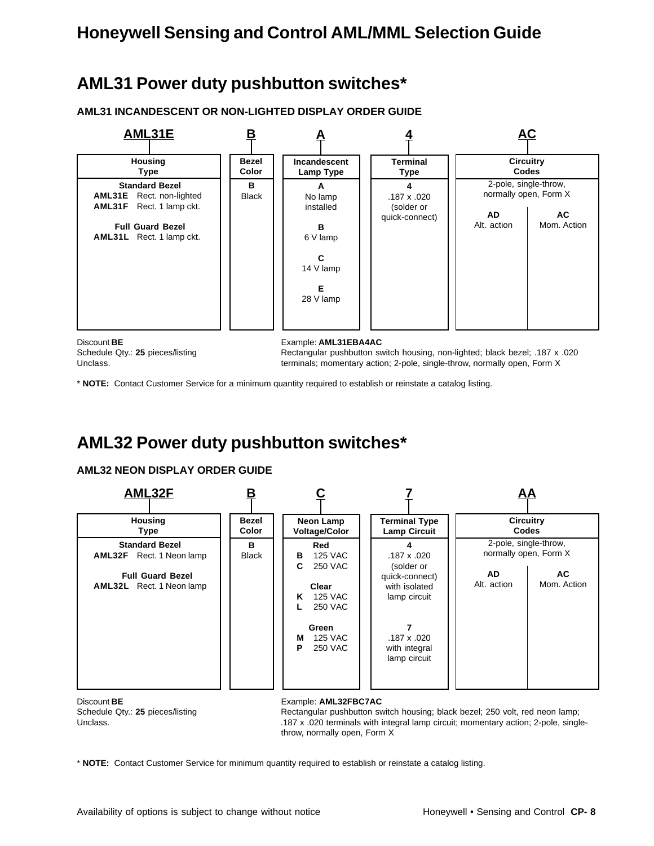## **AML31 Power duty pushbutton switches\***

**AML31 INCANDESCENT OR NON-LIGHTED DISPLAY ORDER GUIDE**



Schedule Qty.: **25** pieces/listing Rectangular pushbutton switch housing, non-lighted; black bezel; .187 x .020 Unclass. terminals; momentary action; 2-pole, single-throw, normally open, Form X

\* **NOTE:** Contact Customer Service for a minimum quantity required to establish or reinstate a catalog listing.

## **AML32 Power duty pushbutton switches\***

### **AML32 NEON DISPLAY ORDER GUIDE**



Discount **BE** Example: **AML32FBC7AC** 

Schedule Qty.: 25 pieces/listing Rectangular pushbutton switch housing; black bezel; 250 volt, red neon lamp; Unclass. **187 x .020** terminals with integral lamp circuit; momentary action; 2-pole, singlethrow, normally open, Form X

\* **NOTE:** Contact Customer Service for minimum quantity required to establish or reinstate a catalog listing.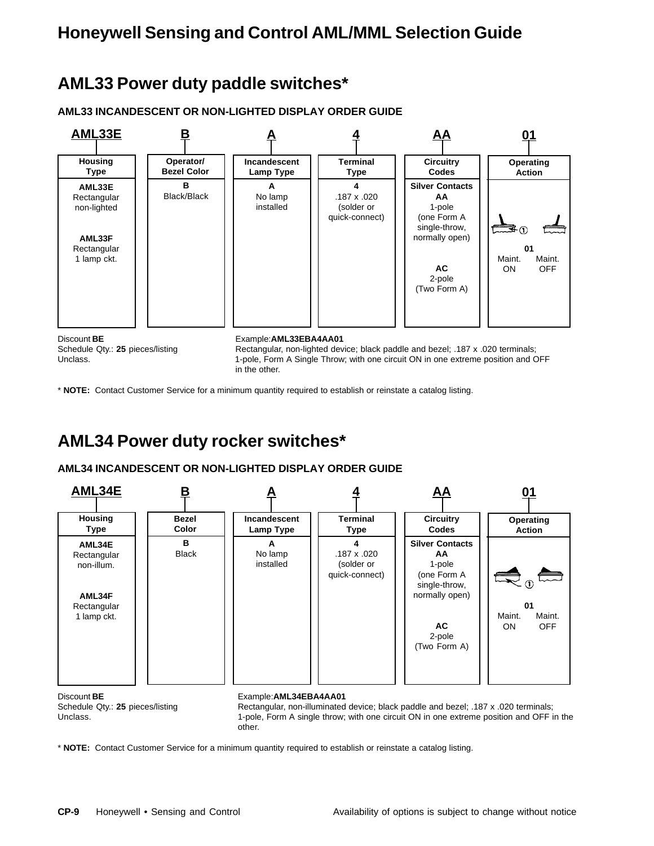## **AML33 Power duty paddle switches\***

**AML33 INCANDESCENT OR NON-LIGHTED DISPLAY ORDER GUIDE**



\* **NOTE:** Contact Customer Service for a minimum quantity required to establish or reinstate a catalog listing.

## **AML34 Power duty rocker switches\***

### **AML34 INCANDESCENT OR NON-LIGHTED DISPLAY ORDER GUIDE**



Schedule Qty.: **25** pieces/listing Rectangular, non-illuminated device; black paddle and bezel; .187 x .020 terminals; Unclass. 1-pole, Form A single throw; with one circuit ON in one extreme position and OFF in the other.

\* **NOTE:** Contact Customer Service for a minimum quantity required to establish or reinstate a catalog listing.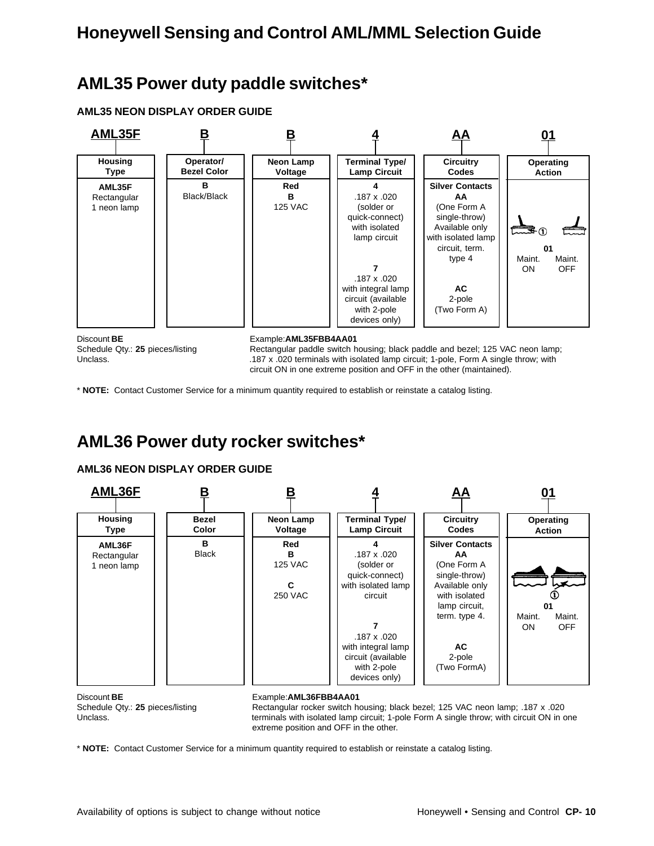## **AML35 Power duty paddle switches\***

**AML35 NEON DISPLAY ORDER GUIDE**



Schedule Qty.: 25 pieces/listing Rectangular paddle switch housing; black paddle and bezel; 125 VAC neon lamp; Unclass. **187 x .020** terminals with isolated lamp circuit; 1-pole, Form A single throw; with circuit ON in one extreme position and OFF in the other (maintained).

\* **NOTE:** Contact Customer Service for a minimum quantity required to establish or reinstate a catalog listing.

## **AML36 Power duty rocker switches\***

### **AML36 NEON DISPLAY ORDER GUIDE**



Discount **BE** Example:**AML36FBB4AA01**

Schedule Qty.: 25 pieces/listing Rectangular rocker switch housing; black bezel; 125 VAC neon lamp; .187 x .020 Unclass. **terminals with isolated lamp circuit; 1-pole Form A single throw**; with circuit ON in one extreme position and OFF in the other.

\* **NOTE:** Contact Customer Service for a minimum quantity required to establish or reinstate a catalog listing.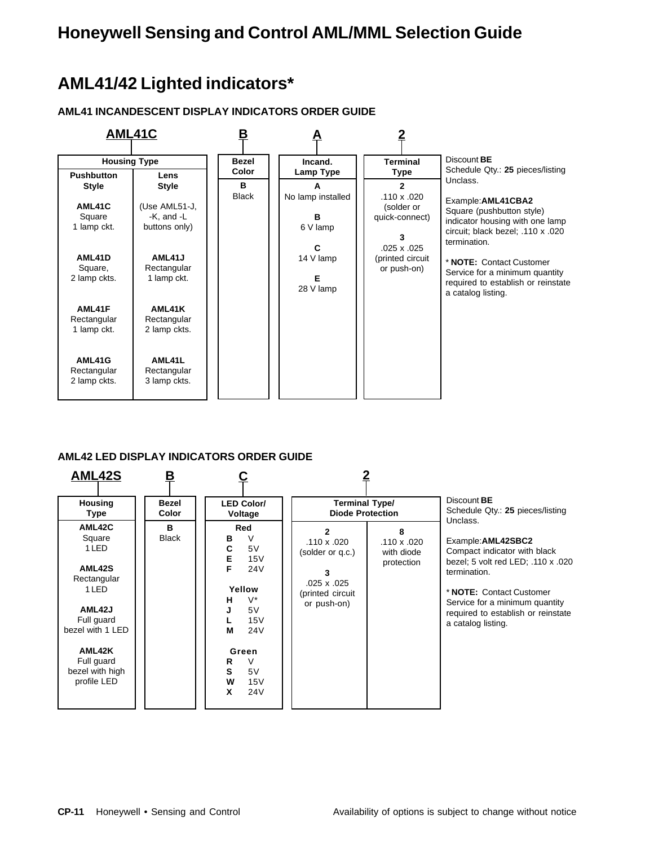## **AML41/42 Lighted indicators\***

### **AML41 INCANDESCENT DISPLAY INDICATORS ORDER GUIDE**



### **AML42 LED DISPLAY INDICATORS ORDER GUIDE**

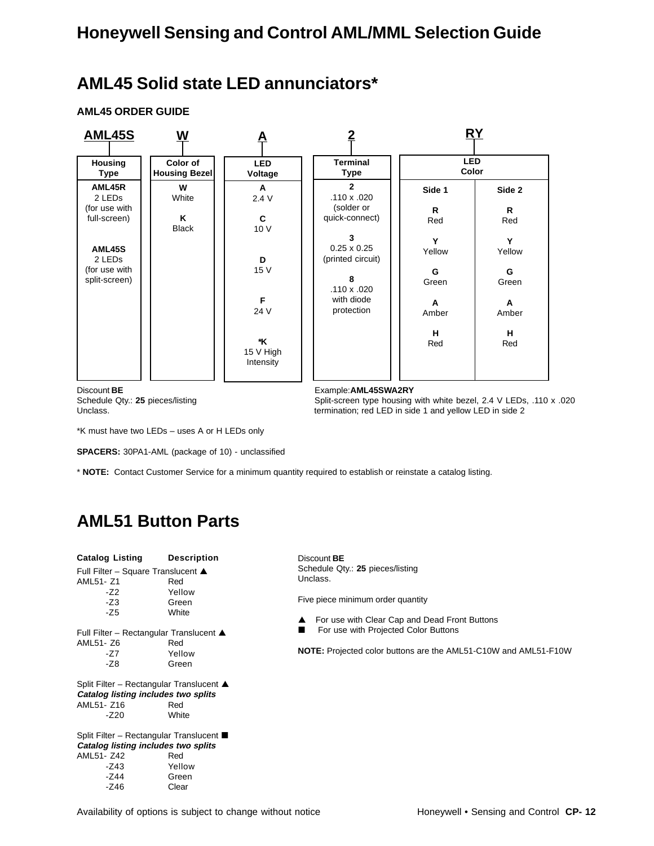## **AML45 Solid state LED annunciators\***

**AML45 ORDER GUIDE**



Discount **BE** Example:**AML45SWA2RY**

Schedule Qty.: 25 pieces/listing Split-screen type housing with white bezel, 2.4 V LEDs, .110 x .020 Unclass. The Unclass of the Unclass of termination; red LED in side 1 and yellow LED in side 2

\*K must have two LEDs – uses A or H LEDs only

**SPACERS:** 30PA1-AML (package of 10) - unclassified

\* **NOTE:** Contact Customer Service for a minimum quantity required to establish or reinstate a catalog listing.

## **AML51 Button Parts**

| Catalog Listing                          | <b>Description</b> |
|------------------------------------------|--------------------|
| Full Filter – Square Translucent ▲       |                    |
| AML51- Z1                                | Red                |
| $-Z2$                                    | Yellow             |
| $-Z3$                                    | Green              |
| $-Z5$                                    | White              |
| Full Filter – Rectangular Translucent ▲  |                    |
| AML51- Z6                                | Red                |
| -77                                      | Yellow             |
| $-Z8$                                    | Green              |
| Split Filter - Rectangular Translucent ▲ |                    |
| Catalog listing includes two splits      |                    |
| AML51- Z16                               | Red                |
| $-Z20$                                   | White              |
| Split Filter – Rectangular Translucent ■ |                    |
| Catalog listing includes two splits      |                    |
| AML51- Z42                               | Red                |
| -Z43                                     | Yellow             |
| $-Z44$                                   | Green              |
| $-Z46$                                   | Clear              |

Discount **BE** Schedule Qty.: **25** pieces/listing Unclass.

Five piece minimum order quantity

For use with Clear Cap and Dead Front Buttons

**E** For use with Projected Color Buttons

**NOTE:** Projected color buttons are the AML51-C10W and AML51-F10W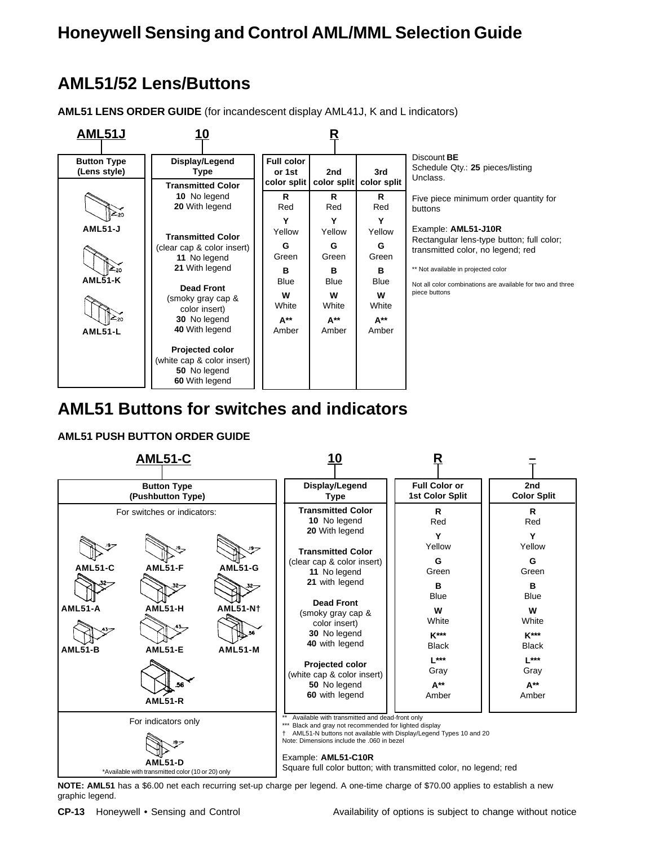## **AML51/52 Lens/Buttons**

**AML51 LENS ORDER GUIDE** (for incandescent display AML41J, K and L indicators)



### **AML51 Buttons for switches and indicators**

### **AML51 PUSH BUTTON ORDER GUIDE**



**NOTE: AML51** has a \$6.00 net each recurring set-up charge per legend. A one-time charge of \$70.00 applies to establish a new graphic legend.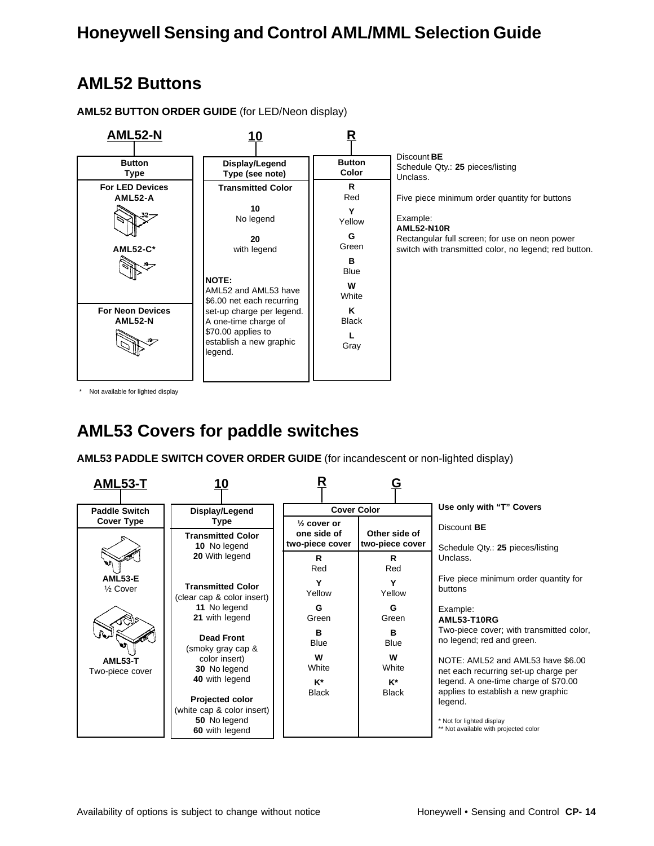## **AML52 Buttons**

**AML52-N Display/Legend Type (see note) Transmitted Color 10** No legend **20** with legend **NOTE:** AML52 and AML53 have \$6.00 net each recurring set-up charge per legend. A one-time charge of \$70.00 applies to establish a new graphic legend. **10 Button Type For LED Devices AML52-A AML52-C\* For Neon Devices AML52-N** Discount **BE** Schedule Qty.: **25** pieces/listing Unclass. Five piece minimum order quantity for buttons Example: **AML52-N10R** Rectangular full screen; for use on neon power switch with transmitted color, no legend; red button. **Button Color R** Red **Y** Yellow **G** Green **B** Blue **W White K** Black **L** Gray **R**

**AML52 BUTTON ORDER GUIDE** (for LED/Neon display)

\* Not available for lighted display

## **AML53 Covers for paddle switches**

**AML53 PADDLE SWITCH COVER ORDER GUIDE** (for incandescent or non-lighted display)

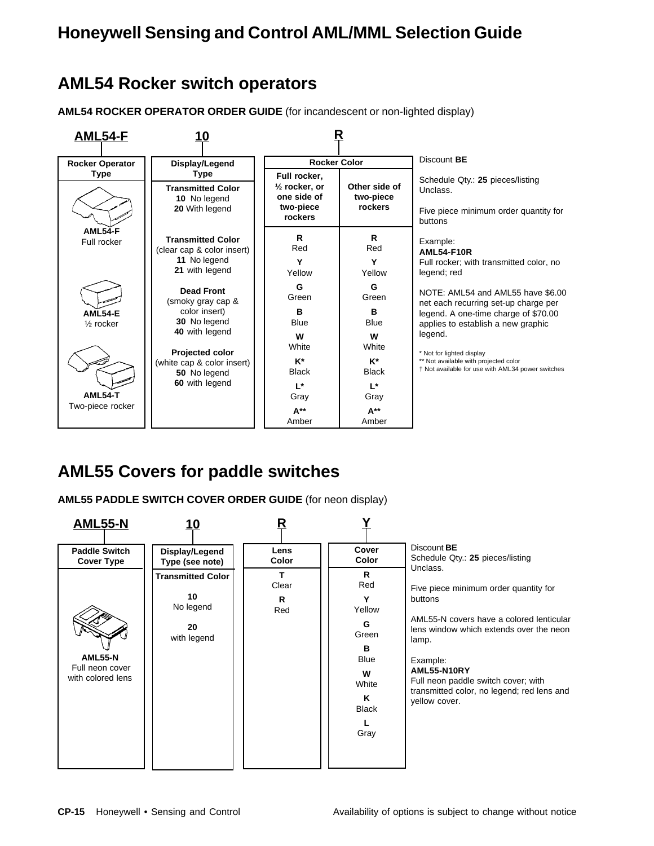### **AML54 Rocker switch operators**

**AML54 ROCKER OPERATOR ORDER GUIDE** (for incandescent or non-lighted display)



## **AML55 Covers for paddle switches**

**AML55 PADDLE SWITCH COVER ORDER GUIDE** (for neon display)

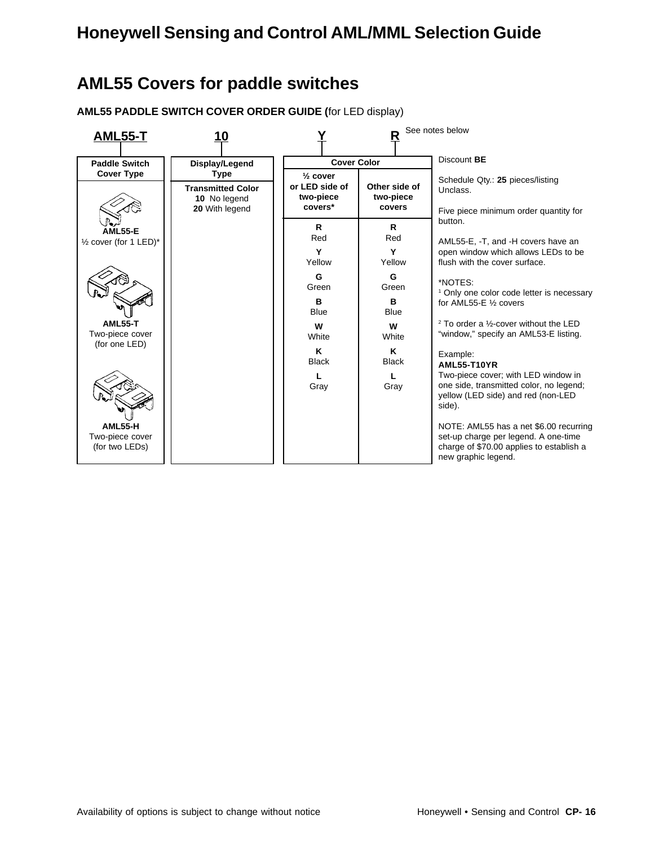## **AML55 Covers for paddle switches**

**AML55 PADDLE SWITCH COVER ORDER GUIDE (**for LED display)

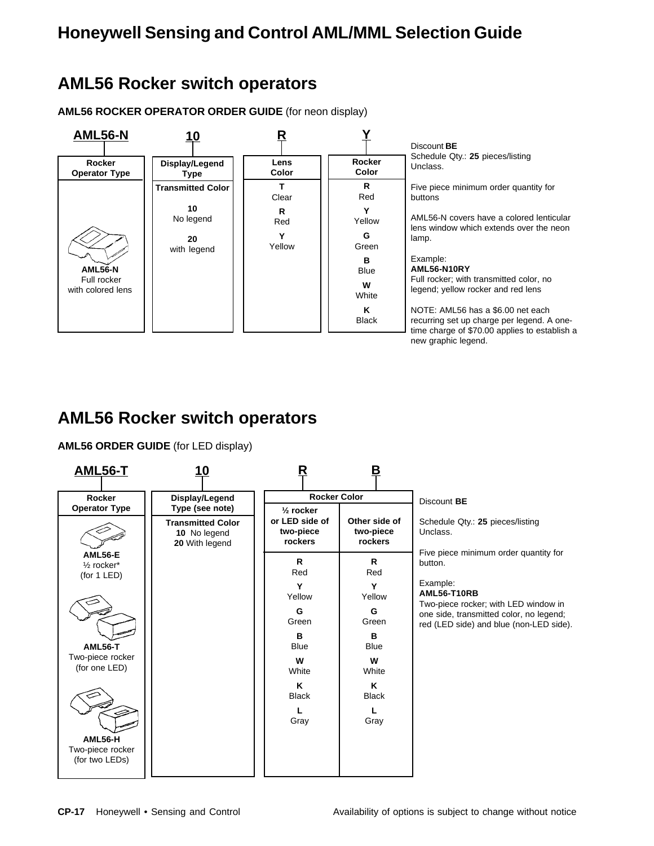### **AML56 Rocker switch operators**

**AML56 ROCKER OPERATOR ORDER GUIDE** (for neon display)



## **AML56 Rocker switch operators**

**AML56 ORDER GUIDE** (for LED display)

| <b>AML56-T</b>                                  | 10                                                                            |                                                                | в                                     |                                                                                    |
|-------------------------------------------------|-------------------------------------------------------------------------------|----------------------------------------------------------------|---------------------------------------|------------------------------------------------------------------------------------|
| Rocker                                          | Display/Legend                                                                | <b>Rocker Color</b>                                            |                                       | Discount BE                                                                        |
| <b>Operator Type</b>                            | Type (see note)<br><b>Transmitted Color</b><br>10 No legend<br>20 With legend | $\frac{1}{2}$ rocker<br>or LED side of<br>two-piece<br>rockers | Other side of<br>two-piece<br>rockers | Schedule Qty.: 25 pieces/listing<br>Unclass.                                       |
| AML56-E<br>$\frac{1}{2}$ rocker*<br>(for 1 LED) |                                                                               | R.<br>Red                                                      | R.<br>Red                             | Five piece minimum order quantity for<br>button.                                   |
|                                                 |                                                                               | Y<br>Yellow                                                    | Y<br>Yellow                           | Example:<br><b>AML56-T10RB</b><br>Two-piece rocker; with LED window in             |
|                                                 |                                                                               | G<br>Green                                                     | G<br>Green                            | one side, transmitted color, no legend;<br>red (LED side) and blue (non-LED side). |
| <b>AML56-T</b>                                  |                                                                               | B<br><b>Blue</b>                                               | в<br><b>Blue</b>                      |                                                                                    |
| Two-piece rocker<br>(for one LED)               |                                                                               | W<br>White                                                     | W<br>White                            |                                                                                    |
|                                                 |                                                                               | K<br><b>Black</b>                                              | K<br><b>Black</b>                     |                                                                                    |
|                                                 |                                                                               | Gray                                                           | L<br>Gray                             |                                                                                    |
| AML56-H<br>Two-piece rocker<br>(for two LEDs)   |                                                                               |                                                                |                                       |                                                                                    |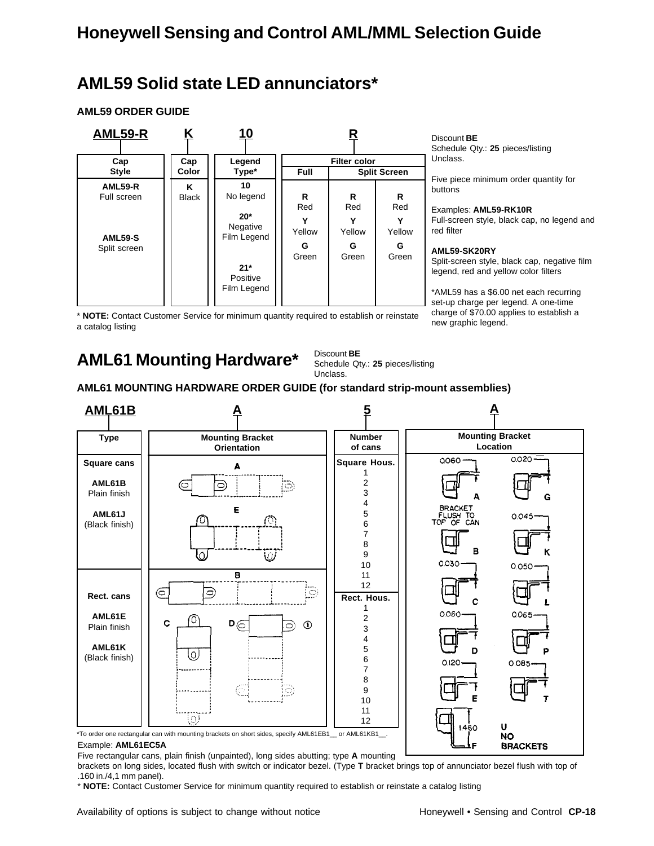## **AML59 Solid state LED annunciators\***

### **AML59 ORDER GUIDE**



Discount **BE**

Schedule Qty.: **25** pieces/listing Unclass.

Five piece minimum order quantity for buttons

#### Examples: **AML59-RK10R**

Full-screen style, black cap, no legend and red filter

#### **AML59-SK20RY**

Split-screen style, black cap, negative film legend, red and yellow color filters

\*AML59 has a \$6.00 net each recurring set-up charge per legend. A one-time charge of \$70.00 applies to establish a new graphic legend.

\* **NOTE:** Contact Customer Service for minimum quantity required to establish or reinstate a catalog listing

## **AML61 Mounting Hardware\***

Discount **BE** Schedule Qty.: **25** pieces/listing Unclass.

### **AML61 MOUNTING HARDWARE ORDER GUIDE (for standard strip-mount assemblies)**



#### Example: **AML61EC5A**

Five rectangular cans, plain finish (unpainted), long sides abutting; type **A** mounting

brackets on long sides, located flush with switch or indicator bezel. (Type **T** bracket brings top of annunciator bezel flush with top of .160 in./4,1 mm panel).

\* **NOTE:** Contact Customer Service for minimum quantity required to establish or reinstate a catalog listing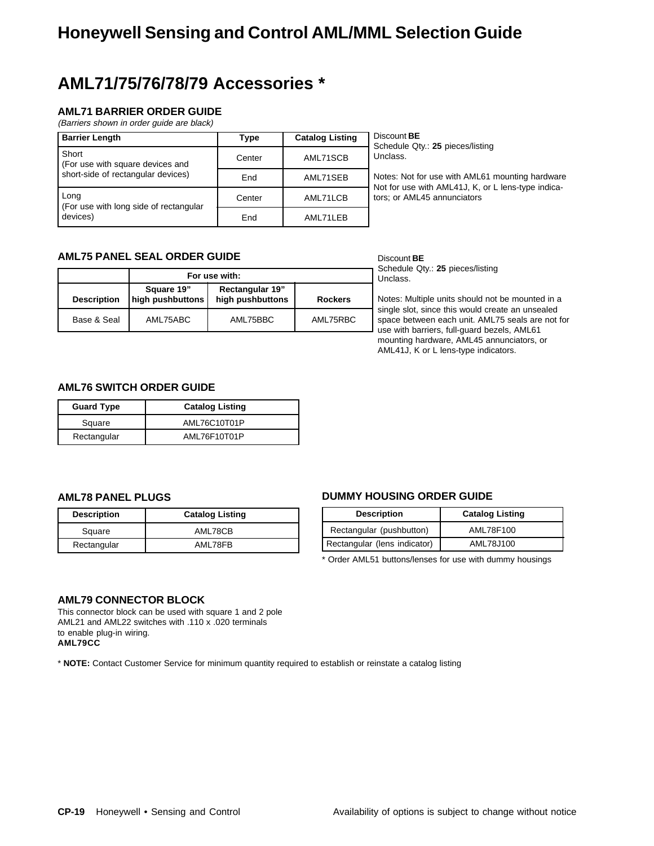## **AML71/75/76/78/79 Accessories \***

### **AML71 BARRIER ORDER GUIDE**

(Barriers shown in order guide are black)

| <b>Barrier Length</b>                          | Type   | <b>Catalog Listing</b> | Discou<br>Sched   |
|------------------------------------------------|--------|------------------------|-------------------|
| Short<br>For use with square devices and       | Center | AML71SCB               | Unclas            |
| short-side of rectangular devices)             | End    | AML71SEB               | Notes:<br>Not for |
| Long<br>(For use with long side of rectangular | Center | AML71LCB               | tors: o           |
| devices)                                       | End    | AML71LEB               |                   |

Discount **BE** ule Qty.: 25 pieces/listing  $SS<sub>1</sub>$ 

Not for use with AML61 mounting hardware use with AML41J, K, or L lens-type indicar AML45 annunciators

### **AML75 PANEL SEAL ORDER GUIDE**

|                    | For use with:                  |                                            |                |  |
|--------------------|--------------------------------|--------------------------------------------|----------------|--|
| <b>Description</b> | Square 19"<br>high pushbuttons | <b>Rectangular 19"</b><br>high pushbuttons | <b>Rockers</b> |  |
| Base & Seal        | AML75ABC                       | AML75BBC                                   | AML75RBC       |  |

Discount **BE** Schedule Qty.: **25** pieces/listing Unclass.

Notes: Multiple units should not be mounted in a single slot, since this would create an unsealed space between each unit. AML75 seals are not for use with barriers, full-guard bezels, AML61 mounting hardware, AML45 annunciators, or AML41J, K or L lens-type indicators.

### **AML76 SWITCH ORDER GUIDE**

| <b>Guard Type</b> | <b>Catalog Listing</b> |  |
|-------------------|------------------------|--|
| Square            | AML76C10T01P           |  |
| Rectangular       | AML76F10T01P           |  |

### **AML78 PANEL PLUGS**

| <b>Description</b> | <b>Catalog Listing</b> |
|--------------------|------------------------|
| Square             | AML78CB                |
| Rectangular        | AML78FB                |

### **DUMMY HOUSING ORDER GUIDE**

| <b>Description</b>           | <b>Catalog Listing</b> |
|------------------------------|------------------------|
| Rectangular (pushbutton)     | AML78F100              |
| Rectangular (lens indicator) | AML78J100              |

\* Order AML51 buttons/lenses for use with dummy housings

### **AML79 CONNECTOR BLOCK**

This connector block can be used with square 1 and 2 pole AML21 and AML22 switches with .110 x .020 terminals to enable plug-in wiring. **AML79CC**

\* **NOTE:** Contact Customer Service for minimum quantity required to establish or reinstate a catalog listing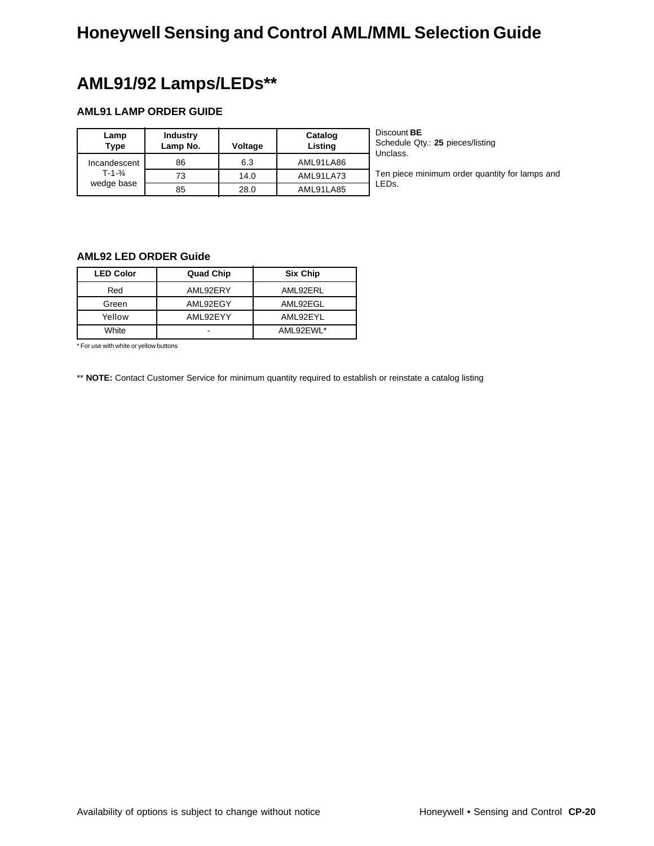## **AML91/92 Lamps/LEDs\*\***

### **AML91 LAMP ORDER GUIDE**

| Lamp<br>Type          | <b>Industry</b><br>Lamp No. | Voltage | Catalog<br>Listing | Discount <b>BE</b><br>Schedule Qty.: 25 pieces/listing<br>Unclass. |
|-----------------------|-----------------------------|---------|--------------------|--------------------------------------------------------------------|
| Incandescent          | 86                          | 6.3     | AML91LA86          |                                                                    |
| $T - 1 - \frac{3}{4}$ | 73                          | 14.0    | AML91LA73          | Ten piece minimum order quantity for lamps and                     |
| wedge base            | 85                          | 28.0    | AML91LA85          | LED <sub>s</sub> .                                                 |

### **AML92 LED ORDER Guide**

| <b>LED Color</b> | <b>Quad Chip</b> | Six Chip  |
|------------------|------------------|-----------|
| Red              | AML92ERY         | AML92ERL  |
| Green            | AML92EGY         | AML92EGL  |
| Yellow           | AML92EYY         | AML92EYL  |
| White            |                  | AML92EWL* |

\* For use with white or yellow buttons

\*\* **NOTE:** Contact Customer Service for minimum quantity required to establish or reinstate a catalog listing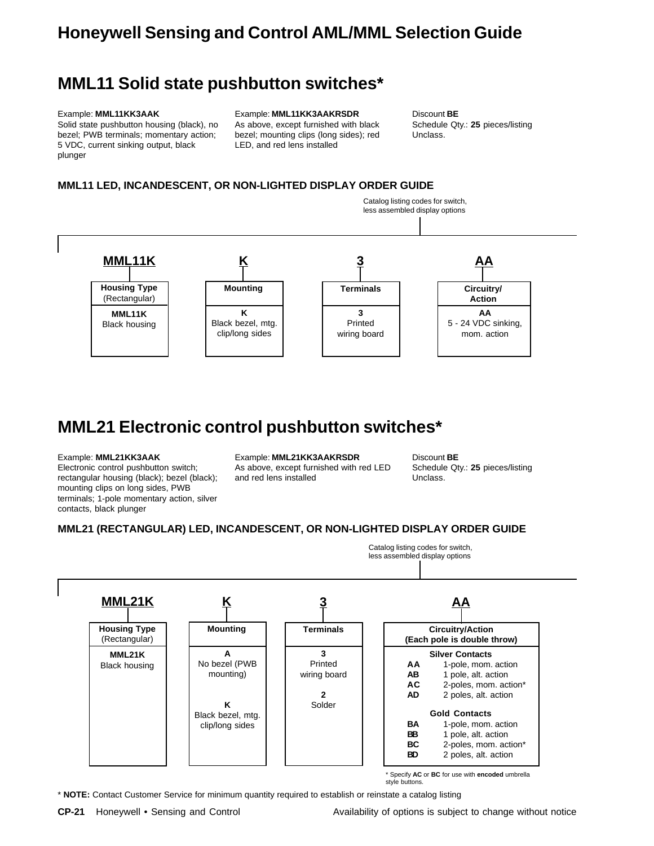### **MML11 Solid state pushbutton switches\***

#### Example: **MML11KK3AAK**

Solid state pushbutton housing (black), no bezel; PWB terminals; momentary action; 5 VDC, current sinking output, black plunger

Example: **MML11KK3AAKRSDR** As above, except furnished with black bezel; mounting clips (long sides); red LED, and red lens installed

Discount **BE** Schedule Qty.: **25** pieces/listing Unclass.

### **MML11 LED, INCANDESCENT, OR NON-LIGHTED DISPLAY ORDER GUIDE**



## **MML21 Electronic control pushbutton switches\***

#### Example: **MML21KK3AAK**

Electronic control pushbutton switch; rectangular housing (black); bezel (black); mounting clips on long sides, PWB terminals; 1-pole momentary action, silver contacts, black plunger

#### Example: **MML21KK3AAKRSDR**

As above, except furnished with red LED and red lens installed

Discount **BE** Schedule Qty.: **25** pieces/listing Unclass.

Catalog listing codes for switch,

### **MML21 (RECTANGULAR) LED, INCANDESCENT, OR NON-LIGHTED DISPLAY ORDER GUIDE**

less assembled display options **Housing Type** (Rectangular) **MML21K Mounting A** No bezel (PWB mounting) **K** Black bezel, mtg. clip/long sides **K Terminals 3** Printed wiring board **2** Solder **3 MML21K** Black housing **Circuitry/Action (Each pole is double throw) Silver Contacts** AA 1-pole, mom. action<br>**AB** 1 pole. alt. action 1 pole, alt. action **AC** 2-poles, mom. action\* **AD** 2 poles, alt. action **Gold Contacts BA** 1-pole, mom. action<br>**BB** 1 pole, alt. action **BB** 1 pole, alt. action **BC** 2-poles, mom. action\* **BD** 2 poles, alt. action **AA**

\* Specify **AC** or **BC** for use with **encoded** umbrella style buttons.

\* **NOTE:** Contact Customer Service for minimum quantity required to establish or reinstate a catalog listing

**CP-21** Honeywell • Sensing and Control **Availability of options is subject to change without notice**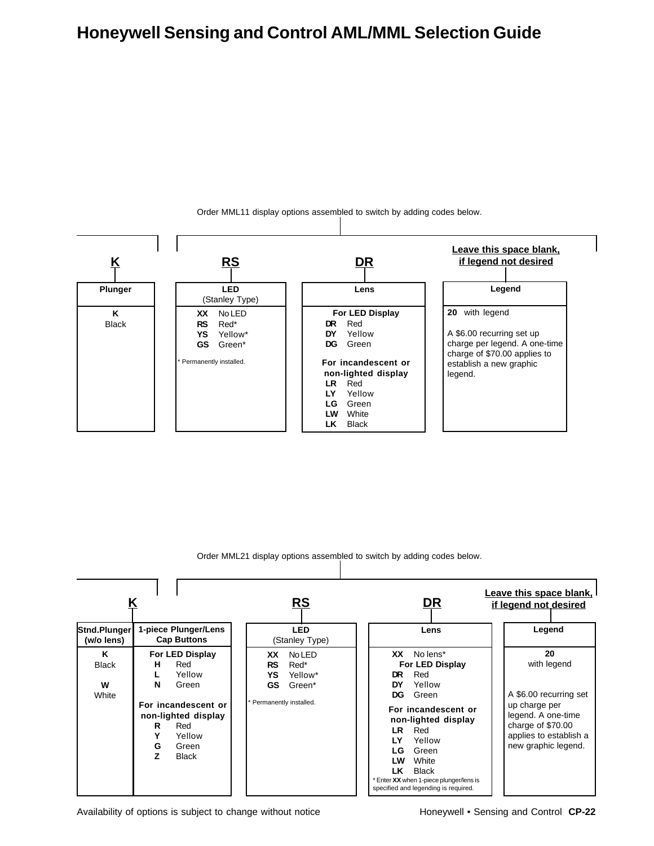

Order MML11 display options assembled to switch by adding codes below.

Order MML21 display options assembled to switch by adding codes below.



Availability of options is subject to change without notice Honeywell • Sensing and Control **CP-22**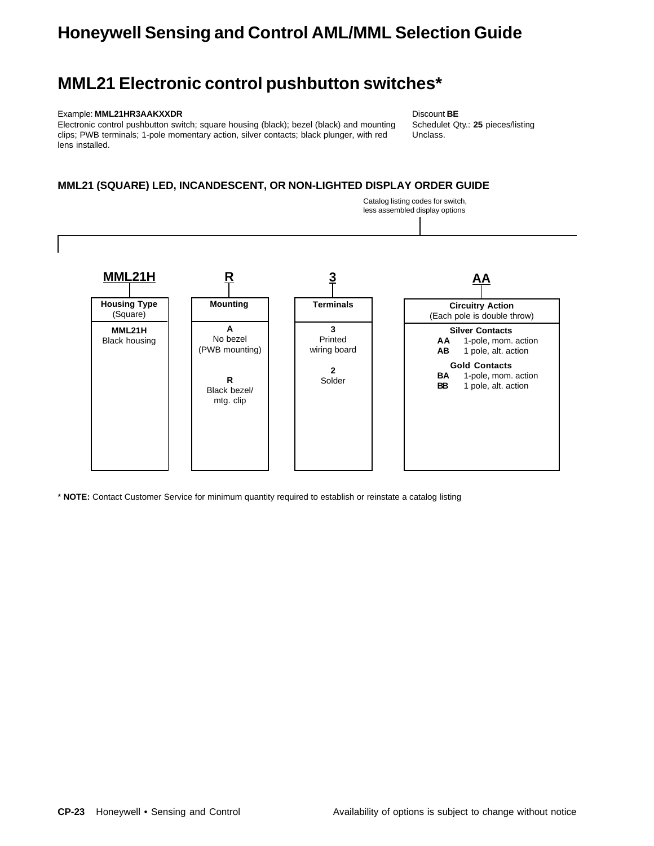### **MML21 Electronic control pushbutton switches\***

#### Example: **MML21HR3AAKXXDR**

Electronic control pushbutton switch; square housing (black); bezel (black) and mounting clips; PWB terminals; 1-pole momentary action, silver contacts; black plunger, with red lens installed.

Discount **BE** Schedulet Qty.: **25** pieces/listing Unclass.

### **MML21 (SQUARE) LED, INCANDESCENT, OR NON-LIGHTED DISPLAY ORDER GUIDE**



\* **NOTE:** Contact Customer Service for minimum quantity required to establish or reinstate a catalog listing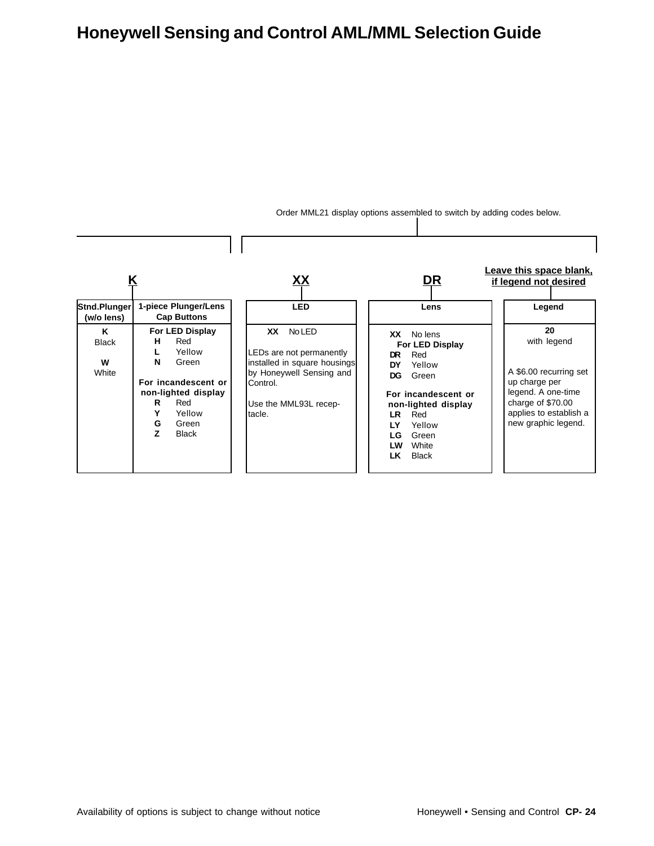

Order MML21 display options assembled to switch by adding codes below.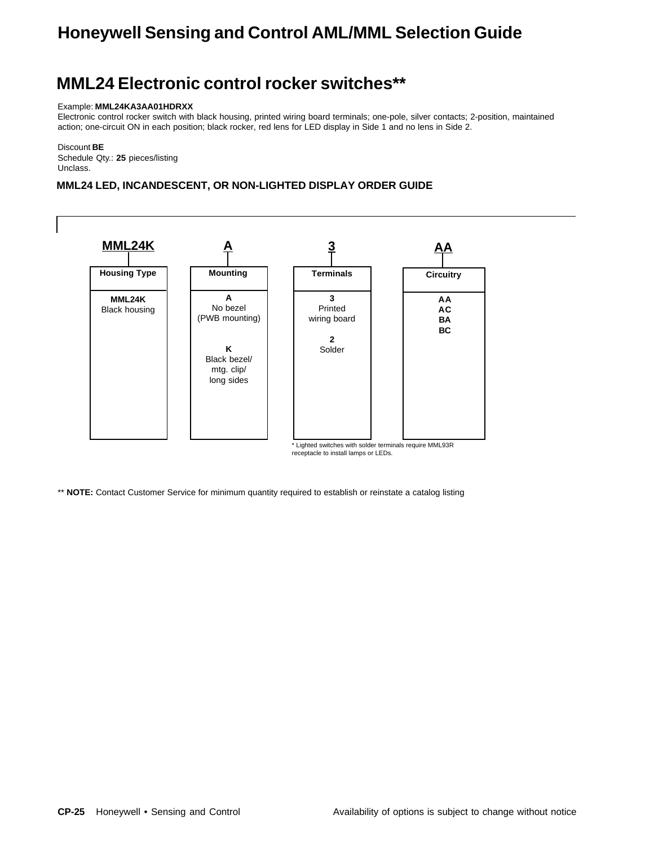### **MML24 Electronic control rocker switches\*\***

#### Example: **MML24KA3AA01HDRXX**

Electronic control rocker switch with black housing, printed wiring board terminals; one-pole, silver contacts; 2-position, maintained action; one-circuit ON in each position; black rocker, red lens for LED display in Side 1 and no lens in Side 2.

Discount **BE** Schedule Qty.: **25** pieces/listing Unclass.

### **MML24 LED, INCANDESCENT, OR NON-LIGHTED DISPLAY ORDER GUIDE**



\*\* **NOTE:** Contact Customer Service for minimum quantity required to establish or reinstate a catalog listing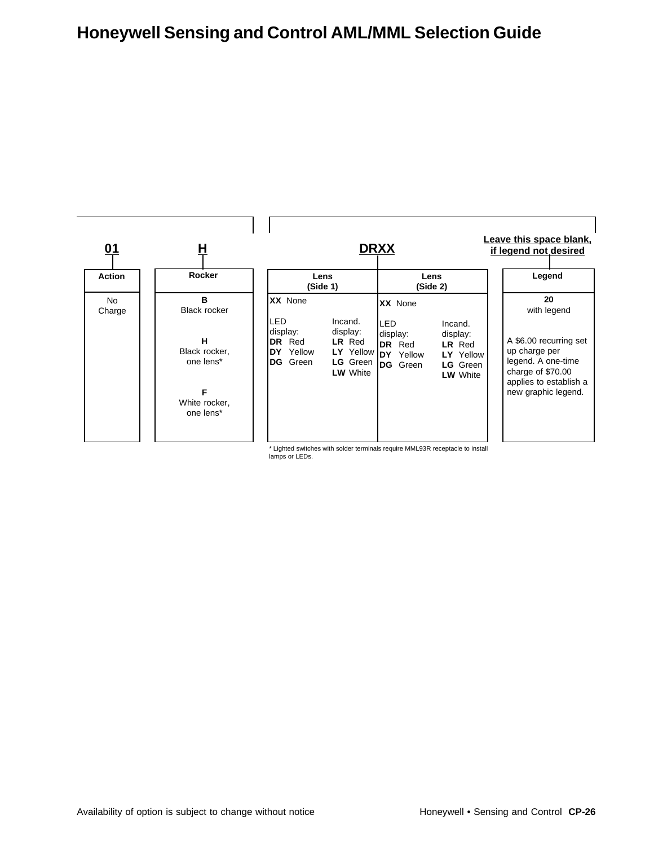

\* Lighted switches with solder terminals require MML93R receptacle to install lamps or LEDs.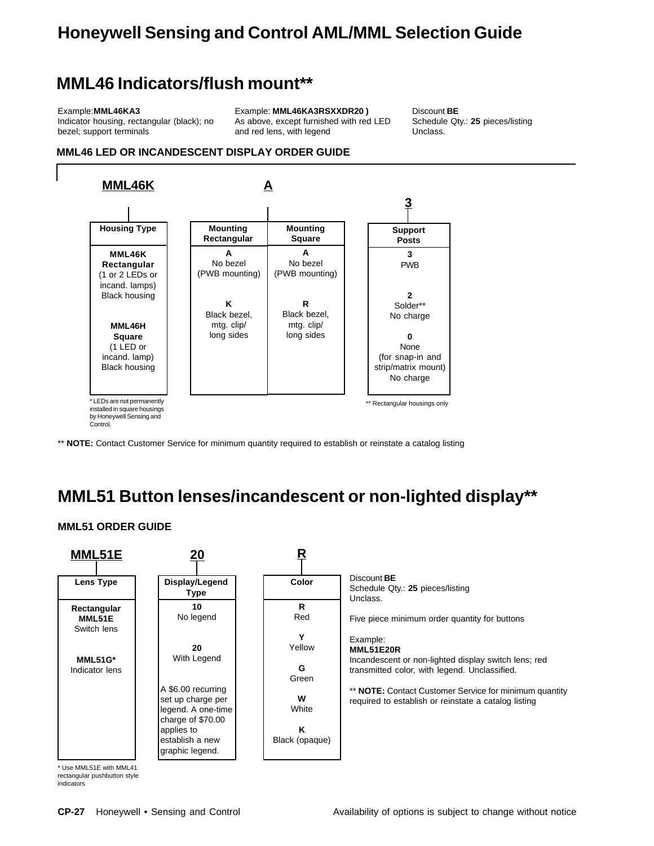### **MML46 Indicators/flush mount\*\***

#### Example:**MML46KA3**

Indicator housing, rectangular (black); no bezel; support terminals

Example: **MML46KA3RSXXDR20 )** As above, except furnished with red LED and red lens, with legend

Discount **BE** Schedule Qty.: **25** pieces/listing Unclass.

### **MML46 LED OR INCANDESCENT DISPLAY ORDER GUIDE**



\*\* **NOTE:** Contact Customer Service for minimum quantity required to establish or reinstate a catalog listing

## **MML51 Button lenses/incandescent or non-lighted display\*\***

### **MML51 ORDER GUIDE**



\* Use MML51E with MML41 rectangular pushbutton style

indicators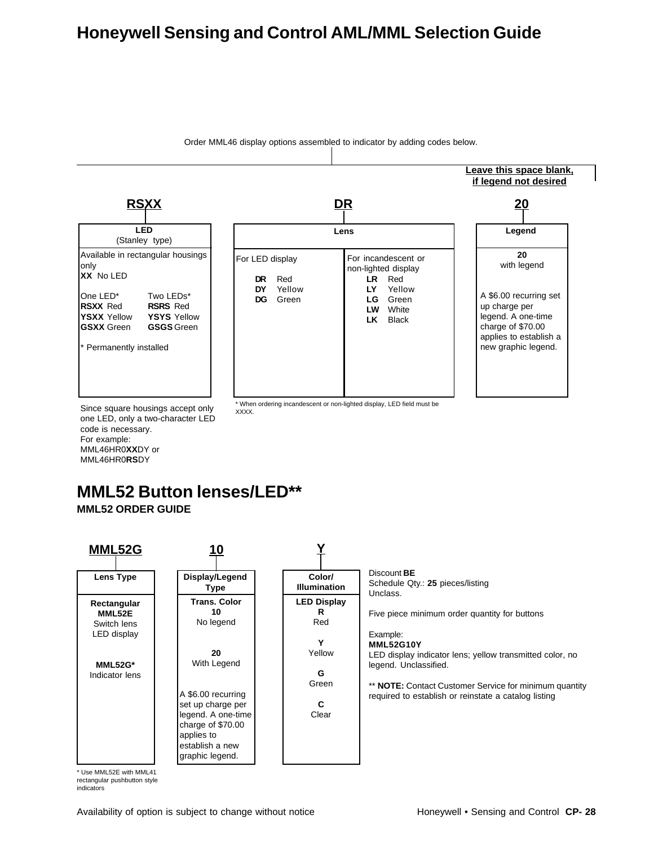

Since square housings accept only one LED, only a two-character LED code is necessary. For example: MML46HR0**XX**DY or MML46HR0**RS**DY

## **MML52 Button lenses/LED\*\***

**MML52 ORDER GUIDE**



\* Use MML52E with MML41 rectangular pushbutton style

indicators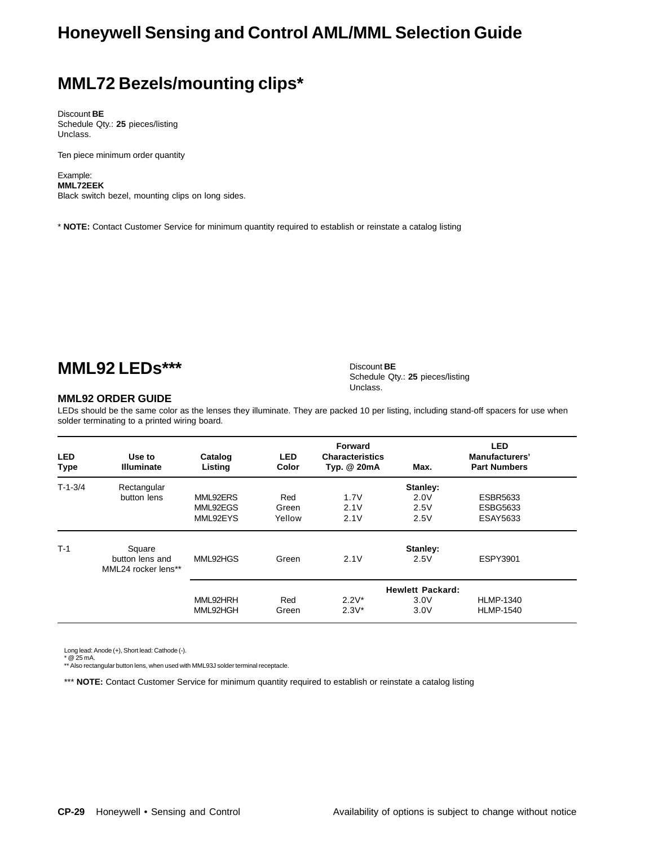## **MML72 Bezels/mounting clips\***

Discount **BE** Schedule Qty.: **25** pieces/listing Unclass.

Ten piece minimum order quantity

Example: **MML72EEK** Black switch bezel, mounting clips on long sides.

\* **NOTE:** Contact Customer Service for minimum quantity required to establish or reinstate a catalog listing

### **MML92 LEDs\*\*\***

#### **MML92 ORDER GUIDE**

LEDs should be the same color as the lenses they illuminate. They are packed 10 per listing, including stand-off spacers for use when solder terminating to a printed wiring board.

Discount **BE**

Unclass.

Schedule Qty.: **25** pieces/listing

| <b>LED</b><br><b>Type</b> | Use to<br><b>Illuminate</b>            | Catalog<br>Listing | <b>LED</b><br>Color | Forward<br><b>Characteristics</b><br>Typ. @ 20mA | Max.     | <b>LED</b><br>Manufacturers'<br><b>Part Numbers</b> |
|---------------------------|----------------------------------------|--------------------|---------------------|--------------------------------------------------|----------|-----------------------------------------------------|
| $T-1-3/4$                 | Rectangular                            |                    |                     |                                                  | Stanley: |                                                     |
|                           | button lens                            | MML92ERS           | Red                 | 1.7V                                             | 2.0V     | <b>ESBR5633</b>                                     |
|                           |                                        | MML92EGS           | Green               | 2.1V                                             | 2.5V     | <b>ESBG5633</b>                                     |
|                           |                                        | MML92EYS           | Yellow              | 2.1V                                             | 2.5V     | ESAY5633                                            |
| $T-1$                     | Square                                 |                    |                     |                                                  | Stanley: |                                                     |
|                           | button lens and<br>MML24 rocker lens** | MML92HGS           | Green               | 2.1V                                             | 2.5V     | <b>ESPY3901</b>                                     |
|                           |                                        |                    |                     | <b>Hewlett Packard:</b>                          |          |                                                     |
|                           |                                        | MML92HRH           | Red                 | $2.2V^*$                                         | 3.0V     | <b>HLMP-1340</b>                                    |
|                           |                                        | MML92HGH           | Green               | $2.3V^*$                                         | 3.0V     | <b>HLMP-1540</b>                                    |

Long lead: Anode (+), Short lead: Cathode (-). \* @ 25 mA.

\*\* Also rectangular button lens, when used with MML93J solder terminal receptacle.

\*\*\* **NOTE:** Contact Customer Service for minimum quantity required to establish or reinstate a catalog listing